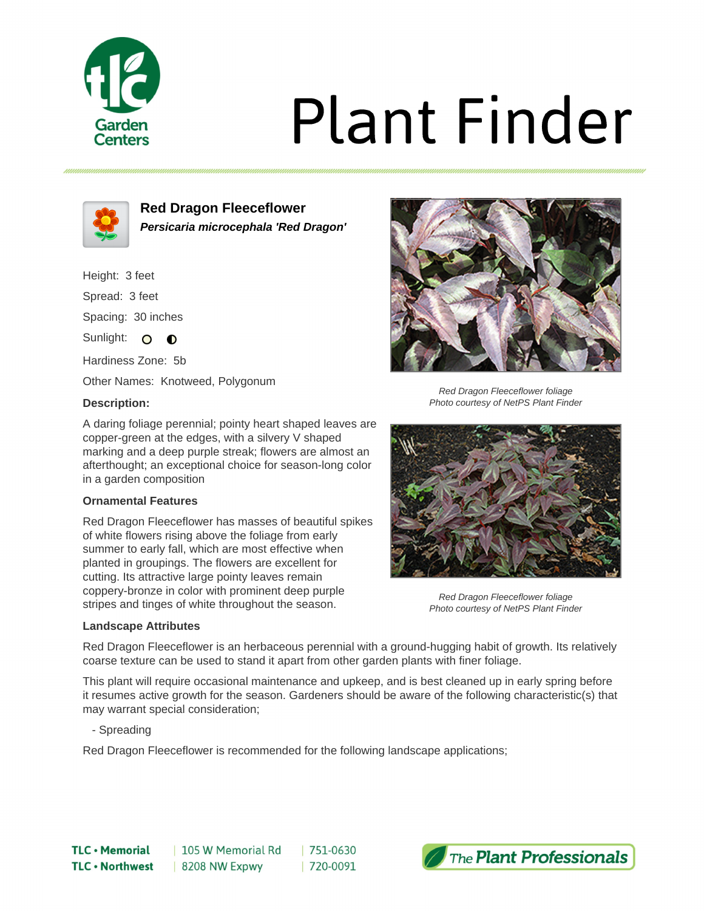

# **Plant Finder**



**Red Dragon Fleeceflower Persicaria microcephala 'Red Dragon'**

Height: 3 feet Spread: 3 feet Spacing: 30 inches Sunlight: 0 0

Hardiness Zone: 5b

Other Names: Knotweed, Polygonum

### **Description:**

A daring foliage perennial; pointy heart shaped leaves are copper-green at the edges, with a silvery V shaped marking and a deep purple streak; flowers are almost an afterthought; an exceptional choice for season-long color in a garden composition

### **Ornamental Features**

Red Dragon Fleeceflower has masses of beautiful spikes of white flowers rising above the foliage from early summer to early fall, which are most effective when planted in groupings. The flowers are excellent for cutting. Its attractive large pointy leaves remain coppery-bronze in color with prominent deep purple stripes and tinges of white throughout the season.



Red Dragon Fleeceflower is an herbaceous perennial with a ground-hugging habit of growth. Its relatively coarse texture can be used to stand it apart from other garden plants with finer foliage.

This plant will require occasional maintenance and upkeep, and is best cleaned up in early spring before it resumes active growth for the season. Gardeners should be aware of the following characteristic(s) that may warrant special consideration;

- Spreading

Red Dragon Fleeceflower is recommended for the following landscape applications;





Red Dragon Fleeceflower foliage Photo courtesy of NetPS Plant Finder



Red Dragon Fleeceflower foliage Photo courtesy of NetPS Plant Finder